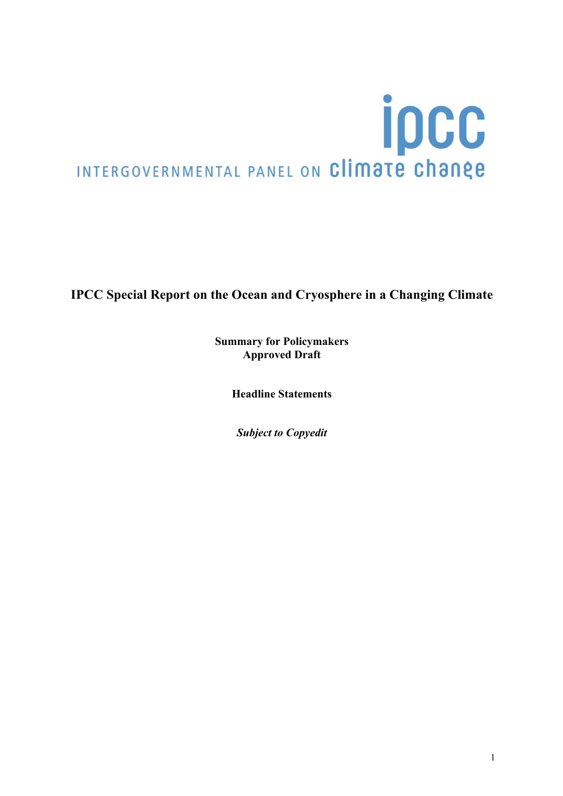# INTERGOVERNMENTAL PANEL ON Climate change

# **IPCC Special Report on the Ocean and Cryosphere in a Changing Climate**

**Summary for Policymakers Approved Draft**

**Headline Statements**

*Subject to Copyedit*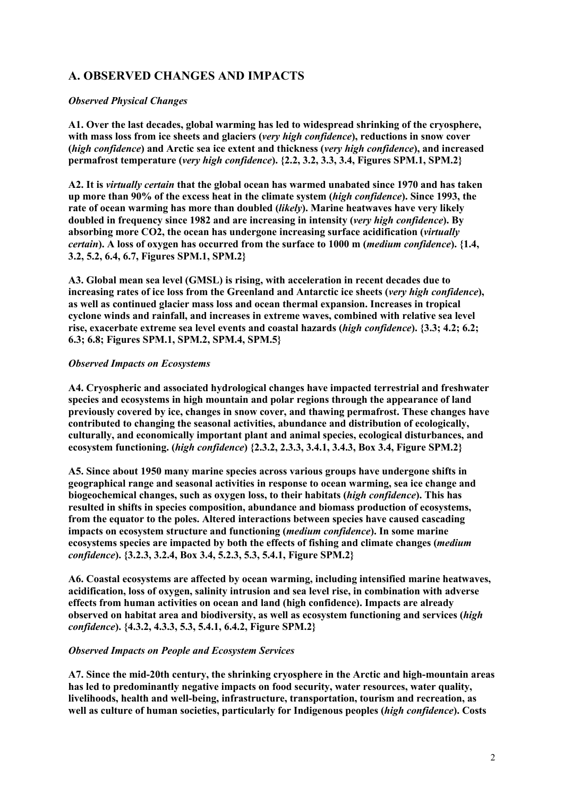# **A. OBSERVED CHANGES AND IMPACTS**

#### *Observed Physical Changes*

**A1. Over the last decades, global warming has led to widespread shrinking of the cryosphere, with mass loss from ice sheets and glaciers (***very high confidence***), reductions in snow cover (***high confidence***) and Arctic sea ice extent and thickness (***very high confidence***), and increased permafrost temperature (***very high confidence***). {2.2, 3.2, 3.3, 3.4, Figures SPM.1, SPM.2}**

**A2. It is** *virtually certain* **that the global ocean has warmed unabated since 1970 and has taken up more than 90% of the excess heat in the climate system (***high confidence***). Since 1993, the rate of ocean warming has more than doubled (***likely***). Marine heatwaves have very likely doubled in frequency since 1982 and are increasing in intensity (***very high confidence***). By absorbing more CO2, the ocean has undergone increasing surface acidification (***virtually certain***). A loss of oxygen has occurred from the surface to 1000 m (***medium confidence***). {1.4, 3.2, 5.2, 6.4, 6.7, Figures SPM.1, SPM.2}**

**A3. Global mean sea level (GMSL) is rising, with acceleration in recent decades due to increasing rates of ice loss from the Greenland and Antarctic ice sheets (***very high confidence***), as well as continued glacier mass loss and ocean thermal expansion. Increases in tropical cyclone winds and rainfall, and increases in extreme waves, combined with relative sea level rise, exacerbate extreme sea level events and coastal hazards (***high confidence***). {3.3; 4.2; 6.2; 6.3; 6.8; Figures SPM.1, SPM.2, SPM.4, SPM.5}**

## *Observed Impacts on Ecosystems*

**A4. Cryospheric and associated hydrological changes have impacted terrestrial and freshwater species and ecosystems in high mountain and polar regions through the appearance of land previously covered by ice, changes in snow cover, and thawing permafrost. These changes have contributed to changing the seasonal activities, abundance and distribution of ecologically, culturally, and economically important plant and animal species, ecological disturbances, and ecosystem functioning. (***high confidence***) {2.3.2, 2.3.3, 3.4.1, 3.4.3, Box 3.4, Figure SPM.2}**

**A5. Since about 1950 many marine species across various groups have undergone shifts in geographical range and seasonal activities in response to ocean warming, sea ice change and biogeochemical changes, such as oxygen loss, to their habitats (***high confidence***). This has resulted in shifts in species composition, abundance and biomass production of ecosystems, from the equator to the poles. Altered interactions between species have caused cascading impacts on ecosystem structure and functioning (***medium confidence***). In some marine ecosystems species are impacted by both the effects of fishing and climate changes (***medium confidence***). {3.2.3, 3.2.4, Box 3.4, 5.2.3, 5.3, 5.4.1, Figure SPM.2}**

**A6. Coastal ecosystems are affected by ocean warming, including intensified marine heatwaves, acidification, loss of oxygen, salinity intrusion and sea level rise, in combination with adverse effects from human activities on ocean and land (high confidence). Impacts are already observed on habitat area and biodiversity, as well as ecosystem functioning and services (***high confidence***). {4.3.2, 4.3.3, 5.3, 5.4.1, 6.4.2, Figure SPM.2}**

#### *Observed Impacts on People and Ecosystem Services*

**A7. Since the mid-20th century, the shrinking cryosphere in the Arctic and high-mountain areas has led to predominantly negative impacts on food security, water resources, water quality, livelihoods, health and well-being, infrastructure, transportation, tourism and recreation, as well as culture of human societies, particularly for Indigenous peoples (***high confidence***). Costs**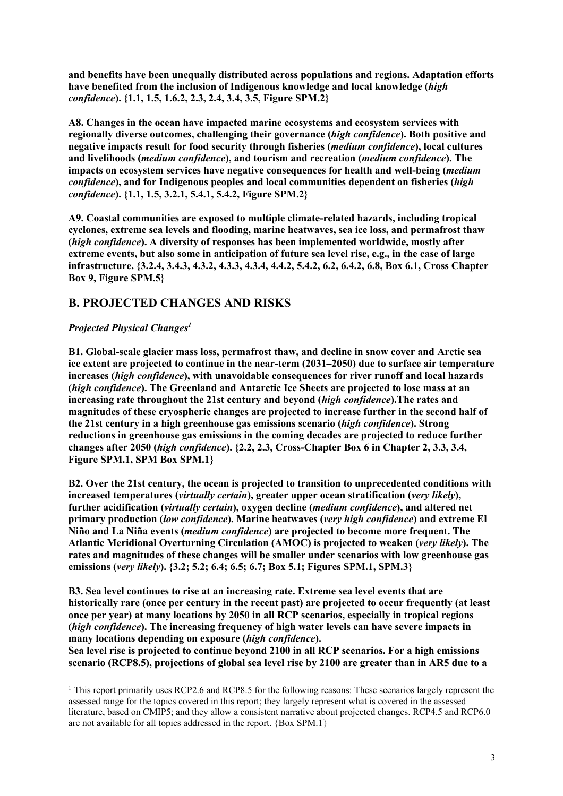**and benefits have been unequally distributed across populations and regions. Adaptation efforts have benefited from the inclusion of Indigenous knowledge and local knowledge (***high confidence***). {1.1, 1.5, 1.6.2, 2.3, 2.4, 3.4, 3.5, Figure SPM.2}**

**A8. Changes in the ocean have impacted marine ecosystems and ecosystem services with regionally diverse outcomes, challenging their governance (***high confidence***). Both positive and negative impacts result for food security through fisheries (***medium confidence***), local cultures and livelihoods (***medium confidence***), and tourism and recreation (***medium confidence***). The impacts on ecosystem services have negative consequences for health and well-being (***medium confidence***), and for Indigenous peoples and local communities dependent on fisheries (***high confidence***). {1.1, 1.5, 3.2.1, 5.4.1, 5.4.2, Figure SPM.2}**

**A9. Coastal communities are exposed to multiple climate-related hazards, including tropical cyclones, extreme sea levels and flooding, marine heatwaves, sea ice loss, and permafrost thaw (***high confidence***). A diversity of responses has been implemented worldwide, mostly after extreme events, but also some in anticipation of future sea level rise, e.g., in the case of large infrastructure. {3.2.4, 3.4.3, 4.3.2, 4.3.3, 4.3.4, 4.4.2, 5.4.2, 6.2, 6.4.2, 6.8, Box 6.1, Cross Chapter Box 9, Figure SPM.5}**

# **B. PROJECTED CHANGES AND RISKS**

# *Projected Physical Changes1*

**B1. Global-scale glacier mass loss, permafrost thaw, and decline in snow cover and Arctic sea ice extent are projected to continue in the near-term (2031–2050) due to surface air temperature increases (***high confidence***), with unavoidable consequences for river runoff and local hazards (***high confidence***). The Greenland and Antarctic Ice Sheets are projected to lose mass at an increasing rate throughout the 21st century and beyond (***high confidence***).The rates and magnitudes of these cryospheric changes are projected to increase further in the second half of the 21st century in a high greenhouse gas emissions scenario (***high confidence***). Strong reductions in greenhouse gas emissions in the coming decades are projected to reduce further changes after 2050 (***high confidence***). {2.2, 2.3, Cross-Chapter Box 6 in Chapter 2, 3.3, 3.4, Figure SPM.1, SPM Box SPM.1}**

**B2. Over the 21st century, the ocean is projected to transition to unprecedented conditions with increased temperatures (***virtually certain***), greater upper ocean stratification (***very likely***), further acidification (***virtually certain***), oxygen decline (***medium confidence***), and altered net primary production (***low confidence***). Marine heatwaves (***very high confidence***) and extreme El Niño and La Niña events (***medium confidence***) are projected to become more frequent. The Atlantic Meridional Overturning Circulation (AMOC) is projected to weaken (***very likely***). The rates and magnitudes of these changes will be smaller under scenarios with low greenhouse gas emissions (***very likely***). {3.2; 5.2; 6.4; 6.5; 6.7; Box 5.1; Figures SPM.1, SPM.3}**

**B3. Sea level continues to rise at an increasing rate. Extreme sea level events that are historically rare (once per century in the recent past) are projected to occur frequently (at least once per year) at many locations by 2050 in all RCP scenarios, especially in tropical regions (***high confidence***). The increasing frequency of high water levels can have severe impacts in many locations depending on exposure (***high confidence***).**

**Sea level rise is projected to continue beyond 2100 in all RCP scenarios. For a high emissions scenario (RCP8.5), projections of global sea level rise by 2100 are greater than in AR5 due to a** 

<sup>&</sup>lt;sup>1</sup> This report primarily uses RCP2.6 and RCP8.5 for the following reasons: These scenarios largely represent the assessed range for the topics covered in this report; they largely represent what is covered in the assessed literature, based on CMIP5; and they allow a consistent narrative about projected changes. RCP4.5 and RCP6.0 are not available for all topics addressed in the report. {Box SPM.1}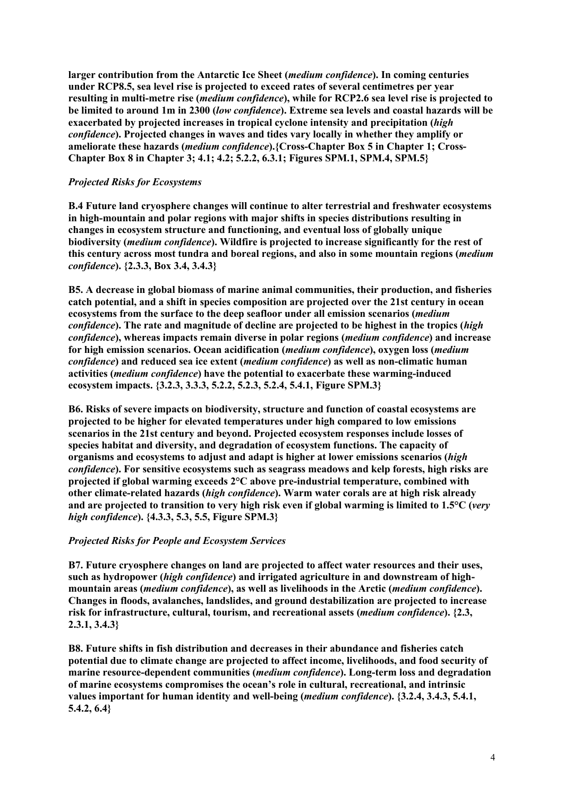**larger contribution from the Antarctic Ice Sheet (***medium confidence***). In coming centuries under RCP8.5, sea level rise is projected to exceed rates of several centimetres per year resulting in multi-metre rise (***medium confidence***), while for RCP2.6 sea level rise is projected to be limited to around 1m in 2300 (***low confidence***). Extreme sea levels and coastal hazards will be exacerbated by projected increases in tropical cyclone intensity and precipitation (***high confidence***). Projected changes in waves and tides vary locally in whether they amplify or ameliorate these hazards (***medium confidence***).{Cross-Chapter Box 5 in Chapter 1; Cross-Chapter Box 8 in Chapter 3; 4.1; 4.2; 5.2.2, 6.3.1; Figures SPM.1, SPM.4, SPM.5}**

### *Projected Risks for Ecosystems*

**B.4 Future land cryosphere changes will continue to alter terrestrial and freshwater ecosystems in high-mountain and polar regions with major shifts in species distributions resulting in changes in ecosystem structure and functioning, and eventual loss of globally unique biodiversity (***medium confidence***). Wildfire is projected to increase significantly for the rest of this century across most tundra and boreal regions, and also in some mountain regions (***medium confidence***). {2.3.3, Box 3.4, 3.4.3}**

**B5. A decrease in global biomass of marine animal communities, their production, and fisheries catch potential, and a shift in species composition are projected over the 21st century in ocean ecosystems from the surface to the deep seafloor under all emission scenarios (***medium confidence***). The rate and magnitude of decline are projected to be highest in the tropics (***high confidence***), whereas impacts remain diverse in polar regions (***medium confidence***) and increase for high emission scenarios. Ocean acidification (***medium confidence***), oxygen loss (***medium confidence***) and reduced sea ice extent (***medium confidence***) as well as non-climatic human activities (***medium confidence***) have the potential to exacerbate these warming-induced ecosystem impacts. {3.2.3, 3.3.3, 5.2.2, 5.2.3, 5.2.4, 5.4.1, Figure SPM.3}**

**B6. Risks of severe impacts on biodiversity, structure and function of coastal ecosystems are projected to be higher for elevated temperatures under high compared to low emissions scenarios in the 21st century and beyond. Projected ecosystem responses include losses of species habitat and diversity, and degradation of ecosystem functions. The capacity of organisms and ecosystems to adjust and adapt is higher at lower emissions scenarios (***high confidence***). For sensitive ecosystems such as seagrass meadows and kelp forests, high risks are projected if global warming exceeds 2°C above pre-industrial temperature, combined with other climate-related hazards (***high confidence***). Warm water corals are at high risk already and are projected to transition to very high risk even if global warming is limited to 1.5°C (***very high confidence***). {4.3.3, 5.3, 5.5, Figure SPM.3}**

#### *Projected Risks for People and Ecosystem Services*

**B7. Future cryosphere changes on land are projected to affect water resources and their uses, such as hydropower (***high confidence***) and irrigated agriculture in and downstream of highmountain areas (***medium confidence***), as well as livelihoods in the Arctic (***medium confidence***). Changes in floods, avalanches, landslides, and ground destabilization are projected to increase risk for infrastructure, cultural, tourism, and recreational assets (***medium confidence***). {2.3, 2.3.1, 3.4.3}**

**B8. Future shifts in fish distribution and decreases in their abundance and fisheries catch potential due to climate change are projected to affect income, livelihoods, and food security of marine resource-dependent communities (***medium confidence***). Long-term loss and degradation of marine ecosystems compromises the ocean's role in cultural, recreational, and intrinsic values important for human identity and well-being (***medium confidence***). {3.2.4, 3.4.3, 5.4.1, 5.4.2, 6.4}**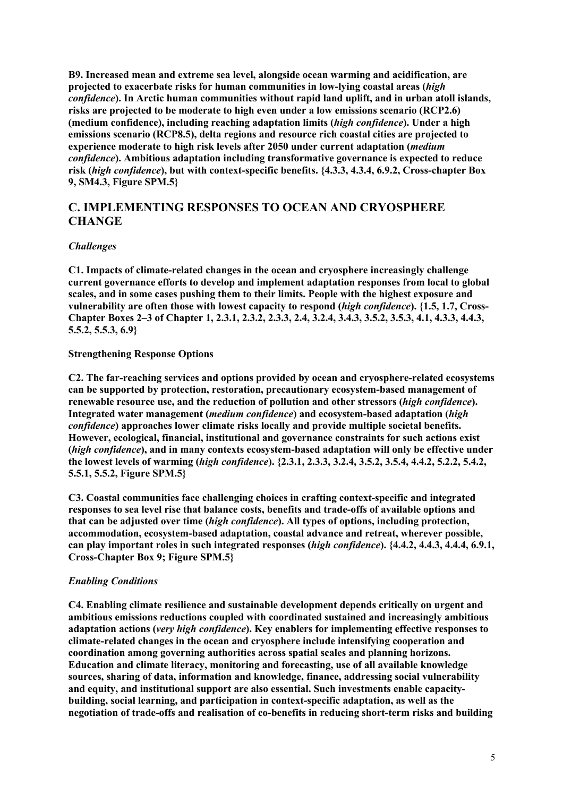**B9. Increased mean and extreme sea level, alongside ocean warming and acidification, are projected to exacerbate risks for human communities in low-lying coastal areas (***high confidence***). In Arctic human communities without rapid land uplift, and in urban atoll islands, risks are projected to be moderate to high even under a low emissions scenario (RCP2.6) (medium confidence), including reaching adaptation limits (***high confidence***). Under a high emissions scenario (RCP8.5), delta regions and resource rich coastal cities are projected to experience moderate to high risk levels after 2050 under current adaptation (***medium confidence***). Ambitious adaptation including transformative governance is expected to reduce risk (***high confidence***), but with context-specific benefits. {4.3.3, 4.3.4, 6.9.2, Cross-chapter Box 9, SM4.3, Figure SPM.5}**

# **C. IMPLEMENTING RESPONSES TO OCEAN AND CRYOSPHERE CHANGE**

# *Challenges*

**C1. Impacts of climate-related changes in the ocean and cryosphere increasingly challenge current governance efforts to develop and implement adaptation responses from local to global scales, and in some cases pushing them to their limits. People with the highest exposure and vulnerability are often those with lowest capacity to respond (***high confidence***). {1.5, 1.7, Cross-Chapter Boxes 2–3 of Chapter 1, 2.3.1, 2.3.2, 2.3.3, 2.4, 3.2.4, 3.4.3, 3.5.2, 3.5.3, 4.1, 4.3.3, 4.4.3, 5.5.2, 5.5.3, 6.9}**

## **Strengthening Response Options**

**C2. The far-reaching services and options provided by ocean and cryosphere-related ecosystems can be supported by protection, restoration, precautionary ecosystem-based management of renewable resource use, and the reduction of pollution and other stressors (***high confidence***). Integrated water management (***medium confidence***) and ecosystem-based adaptation (***high confidence***) approaches lower climate risks locally and provide multiple societal benefits. However, ecological, financial, institutional and governance constraints for such actions exist (***high confidence***), and in many contexts ecosystem-based adaptation will only be effective under the lowest levels of warming (***high confidence***). {2.3.1, 2.3.3, 3.2.4, 3.5.2, 3.5.4, 4.4.2, 5.2.2, 5.4.2, 5.5.1, 5.5.2, Figure SPM.5}**

**C3. Coastal communities face challenging choices in crafting context-specific and integrated responses to sea level rise that balance costs, benefits and trade-offs of available options and that can be adjusted over time (***high confidence***). All types of options, including protection, accommodation, ecosystem-based adaptation, coastal advance and retreat, wherever possible, can play important roles in such integrated responses (***high confidence***). {4.4.2, 4.4.3, 4.4.4, 6.9.1, Cross-Chapter Box 9; Figure SPM.5}**

# *Enabling Conditions*

**C4. Enabling climate resilience and sustainable development depends critically on urgent and ambitious emissions reductions coupled with coordinated sustained and increasingly ambitious adaptation actions (***very high confidence***). Key enablers for implementing effective responses to climate-related changes in the ocean and cryosphere include intensifying cooperation and coordination among governing authorities across spatial scales and planning horizons. Education and climate literacy, monitoring and forecasting, use of all available knowledge sources, sharing of data, information and knowledge, finance, addressing social vulnerability and equity, and institutional support are also essential. Such investments enable capacitybuilding, social learning, and participation in context-specific adaptation, as well as the negotiation of trade-offs and realisation of co-benefits in reducing short-term risks and building**